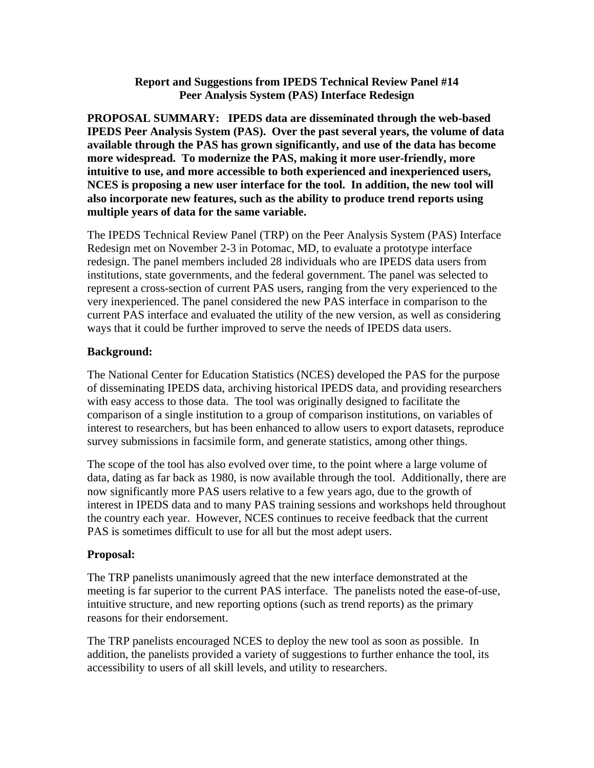## **Report and Suggestions from IPEDS Technical Review Panel #14 Peer Analysis System (PAS) Interface Redesign**

**PROPOSAL SUMMARY: IPEDS data are disseminated through the web-based IPEDS Peer Analysis System (PAS). Over the past several years, the volume of data available through the PAS has grown significantly, and use of the data has become more widespread. To modernize the PAS, making it more user-friendly, more intuitive to use, and more accessible to both experienced and inexperienced users, NCES is proposing a new user interface for the tool. In addition, the new tool will also incorporate new features, such as the ability to produce trend reports using multiple years of data for the same variable.**

The IPEDS Technical Review Panel (TRP) on the Peer Analysis System (PAS) Interface Redesign met on November 2-3 in Potomac, MD, to evaluate a prototype interface redesign. The panel members included 28 individuals who are IPEDS data users from institutions, state governments, and the federal government. The panel was selected to represent a cross-section of current PAS users, ranging from the very experienced to the very inexperienced. The panel considered the new PAS interface in comparison to the current PAS interface and evaluated the utility of the new version, as well as considering ways that it could be further improved to serve the needs of IPEDS data users.

## **Background:**

The National Center for Education Statistics (NCES) developed the PAS for the purpose of disseminating IPEDS data, archiving historical IPEDS data, and providing researchers with easy access to those data. The tool was originally designed to facilitate the comparison of a single institution to a group of comparison institutions, on variables of interest to researchers, but has been enhanced to allow users to export datasets, reproduce survey submissions in facsimile form, and generate statistics, among other things.

The scope of the tool has also evolved over time, to the point where a large volume of data, dating as far back as 1980, is now available through the tool. Additionally, there are now significantly more PAS users relative to a few years ago, due to the growth of interest in IPEDS data and to many PAS training sessions and workshops held throughout the country each year. However, NCES continues to receive feedback that the current PAS is sometimes difficult to use for all but the most adept users.

## **Proposal:**

The TRP panelists unanimously agreed that the new interface demonstrated at the meeting is far superior to the current PAS interface. The panelists noted the ease-of-use, intuitive structure, and new reporting options (such as trend reports) as the primary reasons for their endorsement.

The TRP panelists encouraged NCES to deploy the new tool as soon as possible. In addition, the panelists provided a variety of suggestions to further enhance the tool, its accessibility to users of all skill levels, and utility to researchers.